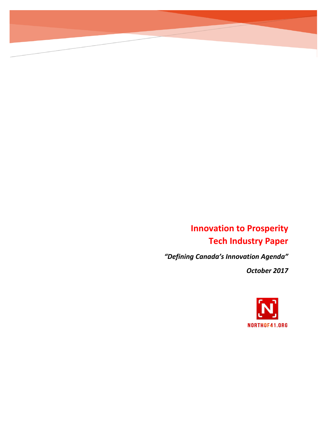# **Innovation to Prosperity Tech Industry Paper**

*"Defining Canada's Innovation Agenda"*

*October 2017*

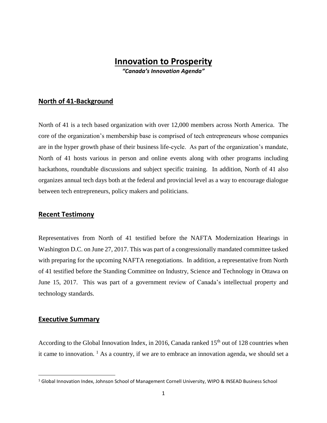# **Innovation to Prosperity**

*"Canada's Innovation Agenda"*

## **North of 41-Background**

North of 41 is a tech based organization with over 12,000 members across North America. The core of the organization's membership base is comprised of tech entrepreneurs whose companies are in the hyper growth phase of their business life-cycle. As part of the organization's mandate, North of 41 hosts various in person and online events along with other programs including hackathons, roundtable discussions and subject specific training. In addition, North of 41 also organizes annual tech days both at the federal and provincial level as a way to encourage dialogue between tech entrepreneurs, policy makers and politicians.

#### **Recent Testimony**

Representatives from North of 41 testified before the NAFTA Modernization Hearings in Washington D.C. on June 27, 2017. This was part of a congressionally mandated committee tasked with preparing for the upcoming NAFTA renegotiations. In addition, a representative from North of 41 testified before the Standing Committee on Industry, Science and Technology in Ottawa on June 15, 2017. This was part of a government review of Canada's intellectual property and technology standards.

#### **Executive Summary**

 $\overline{\phantom{a}}$ 

According to the Global Innovation Index, in 2016, Canada ranked  $15<sup>th</sup>$  out of 128 countries when it came to innovation.  $<sup>1</sup>$  As a country, if we are to embrace an innovation agenda, we should set a</sup>

<sup>&</sup>lt;sup>1</sup> Global Innovation Index, Johnson School of Management Cornell University, WIPO & INSEAD Business School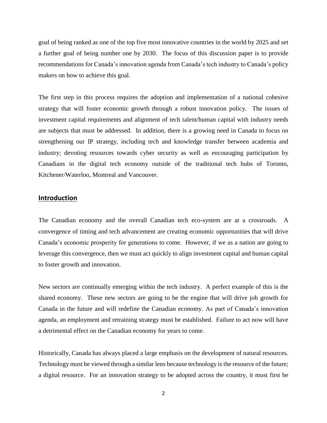goal of being ranked as one of the top five most innovative countries in the world by 2025 and set a further goal of being number one by 2030. The focus of this discussion paper is to provide recommendations for Canada's innovation agenda from Canada's tech industry to Canada's policy makers on how to achieve this goal.

The first step in this process requires the adoption and implementation of a national cohesive strategy that will foster economic growth through a robust innovation policy. The issues of investment capital requirements and alignment of tech talent/human capital with industry needs are subjects that must be addressed. In addition, there is a growing need in Canada to focus on strengthening our IP strategy, including tech and knowledge transfer between academia and industry; devoting resources towards cyber security as well as encouraging participation by Canadians in the digital tech economy outside of the traditional tech hubs of Toronto, Kitchener/Waterloo, Montreal and Vancouver.

## **Introduction**

The Canadian economy and the overall Canadian tech eco-system are at a crossroads. A convergence of timing and tech advancement are creating economic opportunities that will drive Canada's economic prosperity for generations to come. However, if we as a nation are going to leverage this convergence, then we must act quickly to align investment capital and human capital to foster growth and innovation.

New sectors are continually emerging within the tech industry. A perfect example of this is the shared economy. These new sectors are going to be the engine that will drive job growth for Canada in the future and will redefine the Canadian economy. As part of Canada's innovation agenda, an employment and retraining strategy must be established. Failure to act now will have a detrimental effect on the Canadian economy for years to come.

Historically, Canada has always placed a large emphasis on the development of natural resources. Technology must be viewed through a similar lens because technology is the resource of the future; a digital resource. For an innovation strategy to be adopted across the country, it must first be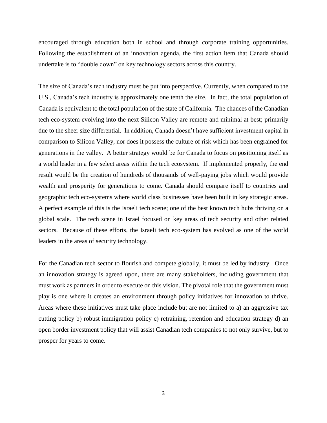encouraged through education both in school and through corporate training opportunities. Following the establishment of an innovation agenda, the first action item that Canada should undertake is to "double down" on key technology sectors across this country.

The size of Canada's tech industry must be put into perspective. Currently, when compared to the U.S., Canada's tech industry is approximately one tenth the size. In fact, the total population of Canada is equivalent to the total population of the state of California. The chances of the Canadian tech eco-system evolving into the next Silicon Valley are remote and minimal at best; primarily due to the sheer size differential. In addition, Canada doesn't have sufficient investment capital in comparison to Silicon Valley, nor does it possess the culture of risk which has been engrained for generations in the valley. A better strategy would be for Canada to focus on positioning itself as a world leader in a few select areas within the tech ecosystem. If implemented properly, the end result would be the creation of hundreds of thousands of well-paying jobs which would provide wealth and prosperity for generations to come. Canada should compare itself to countries and geographic tech eco-systems where world class businesses have been built in key strategic areas. A perfect example of this is the Israeli tech scene; one of the best known tech hubs thriving on a global scale. The tech scene in Israel focused on key areas of tech security and other related sectors. Because of these efforts, the Israeli tech eco-system has evolved as one of the world leaders in the areas of security technology.

For the Canadian tech sector to flourish and compete globally, it must be led by industry. Once an innovation strategy is agreed upon, there are many stakeholders, including government that must work as partners in order to execute on this vision. The pivotal role that the government must play is one where it creates an environment through policy initiatives for innovation to thrive. Areas where these initiatives must take place include but are not limited to a) an aggressive tax cutting policy b) robust immigration policy c) retraining, retention and education strategy d) an open border investment policy that will assist Canadian tech companies to not only survive, but to prosper for years to come.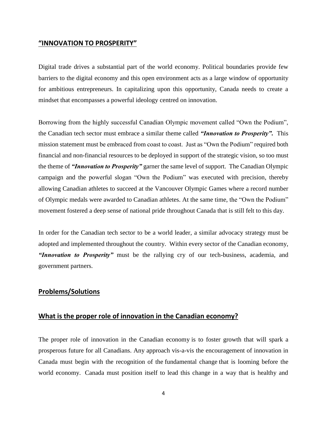#### **"INNOVATION TO PROSPERITY"**

Digital trade drives a substantial part of the world economy. Political boundaries provide few barriers to the digital economy and this open environment acts as a large window of opportunity for ambitious entrepreneurs. In capitalizing upon this opportunity, Canada needs to create a mindset that encompasses a powerful ideology centred on innovation.

Borrowing from the highly successful Canadian Olympic movement called "Own the Podium", the Canadian tech sector must embrace a similar theme called *"Innovation to Prosperity".* This mission statement must be embraced from coast to coast. Just as "Own the Podium" required both financial and non-financial resources to be deployed in support of the strategic vision, so too must the theme of *"Innovation to Prosperity"* garner the same level of support. The Canadian Olympic campaign and the powerful slogan "Own the Podium" was executed with precision, thereby allowing Canadian athletes to succeed at the Vancouver Olympic Games where a record number of Olympic medals were awarded to Canadian athletes. At the same time, the "Own the Podium" movement fostered a deep sense of national pride throughout Canada that is still felt to this day.

In order for the Canadian tech sector to be a world leader, a similar advocacy strategy must be adopted and implemented throughout the country. Within every sector of the Canadian economy, *"Innovation to Prosperity"* must be the rallying cry of our tech-business, academia, and government partners.

# **Problems/Solutions**

# **What is the proper role of innovation in the Canadian economy?**

The proper role of innovation in the Canadian economy is to foster growth that will spark a prosperous future for all Canadians. Any approach vis-a-vis the encouragement of innovation in Canada must begin with the recognition of the fundamental change that is looming before the world economy. Canada must position itself to lead this change in a way that is healthy and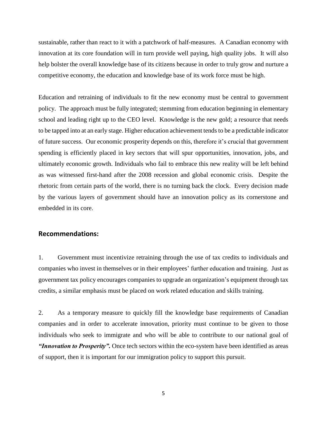sustainable, rather than react to it with a patchwork of half-measures. A Canadian economy with innovation at its core foundation will in turn provide well paying, high quality jobs. It will also help bolster the overall knowledge base of its citizens because in order to truly grow and nurture a competitive economy, the education and knowledge base of its work force must be high.

Education and retraining of individuals to fit the new economy must be central to government policy. The approach must be fully integrated; stemming from education beginning in elementary school and leading right up to the CEO level. Knowledge is the new gold; a resource that needs to be tapped into at an early stage. Higher education achievement tends to be a predictable indicator of future success. Our economic prosperity depends on this, therefore it's crucial that government spending is efficiently placed in key sectors that will spur opportunities, innovation, jobs, and ultimately economic growth. Individuals who fail to embrace this new reality will be left behind as was witnessed first-hand after the 2008 recession and global economic crisis. Despite the rhetoric from certain parts of the world, there is no turning back the clock. Every decision made by the various layers of government should have an innovation policy as its cornerstone and embedded in its core.

#### **Recommendations:**

1. Government must incentivize retraining through the use of tax credits to individuals and companies who invest in themselves or in their employees' further education and training. Just as government tax policy encourages companies to upgrade an organization's equipment through tax credits, a similar emphasis must be placed on work related education and skills training.

2. As a temporary measure to quickly fill the knowledge base requirements of Canadian companies and in order to accelerate innovation, priority must continue to be given to those individuals who seek to immigrate and who will be able to contribute to our national goal of *"Innovation to Prosperity".* Once tech sectors within the eco-system have been identified as areas of support, then it is important for our immigration policy to support this pursuit.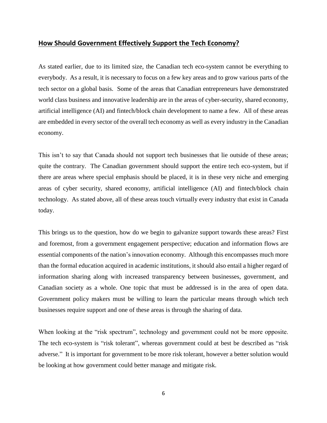#### **How Should Government Effectively Support the Tech Economy?**

As stated earlier, due to its limited size, the Canadian tech eco-system cannot be everything to everybody. As a result, it is necessary to focus on a few key areas and to grow various parts of the tech sector on a global basis. Some of the areas that Canadian entrepreneurs have demonstrated world class business and innovative leadership are in the areas of cyber-security, shared economy, artificial intelligence (AI) and fintech/block chain development to name a few. All of these areas are embedded in every sector of the overall tech economy as well as every industry in the Canadian economy.

This isn't to say that Canada should not support tech businesses that lie outside of these areas; quite the contrary. The Canadian government should support the entire tech eco-system, but if there are areas where special emphasis should be placed, it is in these very niche and emerging areas of cyber security, shared economy, artificial intelligence (AI) and fintech/block chain technology. As stated above, all of these areas touch virtually every industry that exist in Canada today.

This brings us to the question, how do we begin to galvanize support towards these areas? First and foremost, from a government engagement perspective; education and information flows are essential components of the nation's innovation economy. Although this encompasses much more than the formal education acquired in academic institutions, it should also entail a higher regard of information sharing along with increased transparency between businesses, government, and Canadian society as a whole. One topic that must be addressed is in the area of open data. Government policy makers must be willing to learn the particular means through which tech businesses require support and one of these areas is through the sharing of data.

When looking at the "risk spectrum", technology and government could not be more opposite. The tech eco-system is "risk tolerant", whereas government could at best be described as "risk adverse." It is important for government to be more risk tolerant, however a better solution would be looking at how government could better manage and mitigate risk.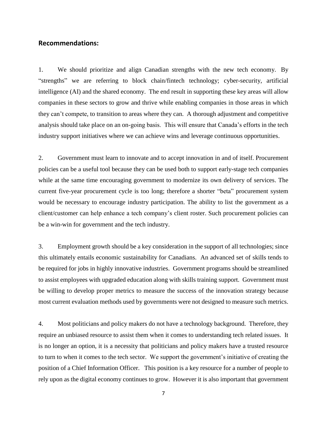#### **Recommendations:**

1. We should prioritize and align Canadian strengths with the new tech economy. By "strengths" we are referring to block chain/fintech technology; cyber-security, artificial intelligence (AI) and the shared economy. The end result in supporting these key areas will allow companies in these sectors to grow and thrive while enabling companies in those areas in which they can't compete, to transition to areas where they can. A thorough adjustment and competitive analysis should take place on an on-going basis. This will ensure that Canada's efforts in the tech industry support initiatives where we can achieve wins and leverage continuous opportunities.

2. Government must learn to innovate and to accept innovation in and of itself. Procurement policies can be a useful tool because they can be used both to support early-stage tech companies while at the same time encouraging government to modernize its own delivery of services. The current five-year procurement cycle is too long; therefore a shorter "beta" procurement system would be necessary to encourage industry participation. The ability to list the government as a client/customer can help enhance a tech company's client roster. Such procurement policies can be a win-win for government and the tech industry.

3. Employment growth should be a key consideration in the support of all technologies; since this ultimately entails economic sustainability for Canadians. An advanced set of skills tends to be required for jobs in highly innovative industries. Government programs should be streamlined to assist employees with upgraded education along with skills training support. Government must be willing to develop proper metrics to measure the success of the innovation strategy because most current evaluation methods used by governments were not designed to measure such metrics.

4. Most politicians and policy makers do not have a technology background. Therefore, they require an unbiased resource to assist them when it comes to understanding tech related issues. It is no longer an option, it is a necessity that politicians and policy makers have a trusted resource to turn to when it comes to the tech sector. We support the government's initiative of creating the position of a Chief Information Officer. This position is a key resource for a number of people to rely upon as the digital economy continues to grow. However it is also important that government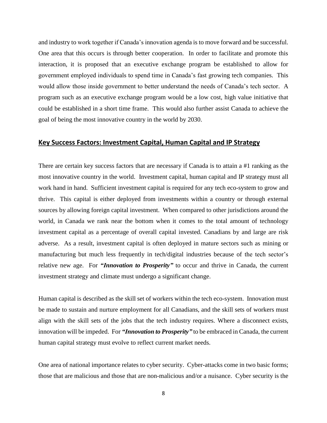and industry to work together if Canada's innovation agenda is to move forward and be successful. One area that this occurs is through better cooperation. In order to facilitate and promote this interaction, it is proposed that an executive exchange program be established to allow for government employed individuals to spend time in Canada's fast growing tech companies. This would allow those inside government to better understand the needs of Canada's tech sector. A program such as an executive exchange program would be a low cost, high value initiative that could be established in a short time frame. This would also further assist Canada to achieve the goal of being the most innovative country in the world by 2030.

#### **Key Success Factors: Investment Capital, Human Capital and IP Strategy**

There are certain key success factors that are necessary if Canada is to attain a #1 ranking as the most innovative country in the world. Investment capital, human capital and IP strategy must all work hand in hand. Sufficient investment capital is required for any tech eco-system to grow and thrive. This capital is either deployed from investments within a country or through external sources by allowing foreign capital investment. When compared to other jurisdictions around the world, in Canada we rank near the bottom when it comes to the total amount of technology investment capital as a percentage of overall capital invested. Canadians by and large are risk adverse. As a result, investment capital is often deployed in mature sectors such as mining or manufacturing but much less frequently in tech/digital industries because of the tech sector's relative new age. For **"Innovation to Prosperity"** to occur and thrive in Canada, the current investment strategy and climate must undergo a significant change.

Human capital is described as the skill set of workers within the tech eco-system. Innovation must be made to sustain and nurture employment for all Canadians, and the skill sets of workers must align with the skill sets of the jobs that the tech industry requires. Where a disconnect exists, innovation will be impeded. For *"Innovation to Prosperity"* to be embraced in Canada, the current human capital strategy must evolve to reflect current market needs.

One area of national importance relates to cyber security. Cyber-attacks come in two basic forms; those that are malicious and those that are non-malicious and/or a nuisance. Cyber security is the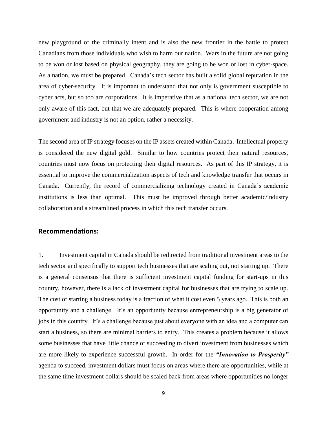new playground of the criminally intent and is also the new frontier in the battle to protect Canadians from those individuals who wish to harm our nation. Wars in the future are not going to be won or lost based on physical geography, they are going to be won or lost in cyber-space. As a nation, we must be prepared. Canada's tech sector has built a solid global reputation in the area of cyber-security. It is important to understand that not only is government susceptible to cyber acts, but so too are corporations. It is imperative that as a national tech sector, we are not only aware of this fact, but that we are adequately prepared. This is where cooperation among government and industry is not an option, rather a necessity.

The second area of IP strategy focuses on the IP assets created within Canada. Intellectual property is considered the new digital gold. Similar to how countries protect their natural resources, countries must now focus on protecting their digital resources. As part of this IP strategy, it is essential to improve the commercialization aspects of tech and knowledge transfer that occurs in Canada. Currently, the record of commercializing technology created in Canada's academic institutions is less than optimal. This must be improved through better academic/industry collaboration and a streamlined process in which this tech transfer occurs.

#### **Recommendations:**

1. Investment capital in Canada should be redirected from traditional investment areas to the tech sector and specifically to support tech businesses that are scaling out, not starting up. There is a general consensus that there is sufficient investment capital funding for start-ups in this country, however, there is a lack of investment capital for businesses that are trying to scale up. The cost of starting a business today is a fraction of what it cost even 5 years ago. This is both an opportunity and a challenge. It's an opportunity because entrepreneurship is a big generator of jobs in this country. It's a challenge because just about everyone with an idea and a computer can start a business, so there are minimal barriers to entry. This creates a problem because it allows some businesses that have little chance of succeeding to divert investment from businesses which are more likely to experience successful growth. In order for the *"Innovation to Prosperity"* agenda to succeed, investment dollars must focus on areas where there are opportunities, while at the same time investment dollars should be scaled back from areas where opportunities no longer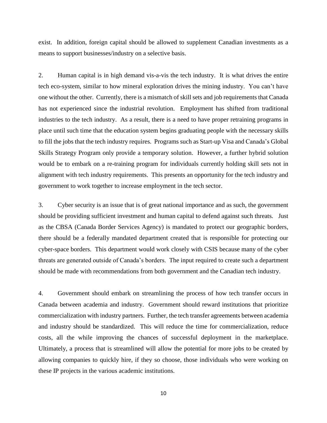exist. In addition, foreign capital should be allowed to supplement Canadian investments as a means to support businesses/industry on a selective basis.

2. Human capital is in high demand vis-a-vis the tech industry. It is what drives the entire tech eco-system, similar to how mineral exploration drives the mining industry. You can't have one without the other. Currently, there is a mismatch of skill sets and job requirements that Canada has not experienced since the industrial revolution. Employment has shifted from traditional industries to the tech industry. As a result, there is a need to have proper retraining programs in place until such time that the education system begins graduating people with the necessary skills to fill the jobs that the tech industry requires. Programs such as Start-up Visa and Canada's Global Skills Strategy Program only provide a temporary solution. However, a further hybrid solution would be to embark on a re-training program for individuals currently holding skill sets not in alignment with tech industry requirements. This presents an opportunity for the tech industry and government to work together to increase employment in the tech sector.

3. Cyber security is an issue that is of great national importance and as such, the government should be providing sufficient investment and human capital to defend against such threats. Just as the CBSA (Canada Border Services Agency) is mandated to protect our geographic borders, there should be a federally mandated department created that is responsible for protecting our cyber-space borders. This department would work closely with CSIS because many of the cyber threats are generated outside of Canada's borders. The input required to create such a department should be made with recommendations from both government and the Canadian tech industry.

4. Government should embark on streamlining the process of how tech transfer occurs in Canada between academia and industry. Government should reward institutions that prioritize commercialization with industry partners. Further, the tech transfer agreements between academia and industry should be standardized. This will reduce the time for commercialization, reduce costs, all the while improving the chances of successful deployment in the marketplace. Ultimately, a process that is streamlined will allow the potential for more jobs to be created by allowing companies to quickly hire, if they so choose, those individuals who were working on these IP projects in the various academic institutions.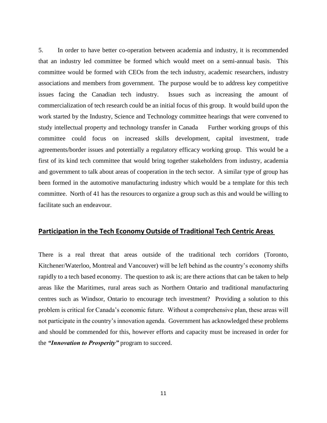5. In order to have better co-operation between academia and industry, it is recommended that an industry led committee be formed which would meet on a semi-annual basis. This committee would be formed with CEOs from the tech industry, academic researchers, industry associations and members from government. The purpose would be to address key competitive issues facing the Canadian tech industry. Issues such as increasing the amount of commercialization of tech research could be an initial focus of this group. It would build upon the work started by the Industry, Science and Technology committee hearings that were convened to study intellectual property and technology transfer in Canada Further working groups of this committee could focus on increased skills development, capital investment, trade agreements/border issues and potentially a regulatory efficacy working group. This would be a first of its kind tech committee that would bring together stakeholders from industry, academia and government to talk about areas of cooperation in the tech sector. A similar type of group has been formed in the automotive manufacturing industry which would be a template for this tech committee. North of 41 has the resources to organize a group such as this and would be willing to facilitate such an endeavour.

#### **Participation in the Tech Economy Outside of Traditional Tech Centric Areas**

There is a real threat that areas outside of the traditional tech corridors (Toronto, Kitchener/Waterloo, Montreal and Vancouver) will be left behind as the country's economy shifts rapidly to a tech based economy. The question to ask is; are there actions that can be taken to help areas like the Maritimes, rural areas such as Northern Ontario and traditional manufacturing centres such as Windsor, Ontario to encourage tech investment? Providing a solution to this problem is critical for Canada's economic future. Without a comprehensive plan, these areas will not participate in the country's innovation agenda. Government has acknowledged these problems and should be commended for this, however efforts and capacity must be increased in order for the *"Innovation to Prosperity"* program to succeed.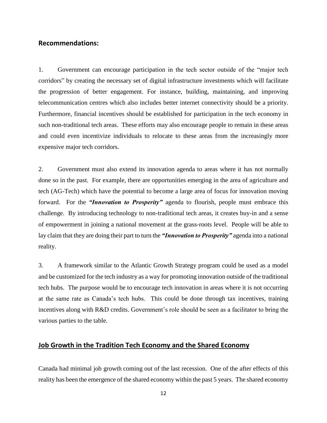#### **Recommendations:**

1. Government can encourage participation in the tech sector outside of the "major tech corridors" by creating the necessary set of digital infrastructure investments which will facilitate the progression of better engagement. For instance, building, maintaining, and improving telecommunication centres which also includes better internet connectivity should be a priority. Furthermore, financial incentives should be established for participation in the tech economy in such non-traditional tech areas. These efforts may also encourage people to remain in these areas and could even incentivize individuals to relocate to these areas from the increasingly more expensive major tech corridors.

2. Government must also extend its innovation agenda to areas where it has not normally done so in the past. For example, there are opportunities emerging in the area of agriculture and tech (AG-Tech) which have the potential to become a large area of focus for innovation moving forward. For the *"Innovation to Prosperity"* agenda to flourish, people must embrace this challenge. By introducing technology to non-traditional tech areas, it creates buy-in and a sense of empowerment in joining a national movement at the grass-roots level. People will be able to lay claim that they are doing their part to turn the *"Innovation to Prosperity"* agenda into a national reality.

3. A framework similar to the Atlantic Growth Strategy program could be used as a model and be customized for the tech industry as a way for promoting innovation outside of the traditional tech hubs. The purpose would be to encourage tech innovation in areas where it is not occurring at the same rate as Canada's tech hubs. This could be done through tax incentives, training incentives along with R&D credits. Government's role should be seen as a facilitator to bring the various parties to the table.

# **Job Growth in the Tradition Tech Economy and the Shared Economy**

Canada had minimal job growth coming out of the last recession. One of the after effects of this reality has been the emergence of the shared economy within the past 5 years. The shared economy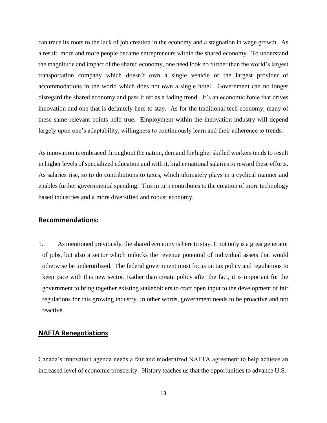can trace its roots to the lack of job creation in the economy and a stagnation in wage growth. As a result, more and more people became entrepreneurs within the shared economy. To understand the magnitude and impact of the shared economy, one need look no further than the world's largest transportation company which doesn't own a single vehicle or the largest provider of accommodations in the world which does not own a single hotel. Government can no longer disregard the shared economy and pass it off as a fading trend. It's an economic force that drives innovation and one that is definitely here to stay. As for the traditional tech economy, many of these same relevant points hold true. Employment within the innovation industry will depend largely upon one's adaptability, willingness to continuously learn and their adherence to trends.

As innovation is embraced throughout the nation, demand for higher skilled workers tends to result in higher levels of specialized education and with it, higher national salaries to reward these efforts. As salaries rise, so to do contributions to taxes, which ultimately plays in a cyclical manner and enables further governmental spending. This in turn contributes to the creation of more technology based industries and a more diversified and robust economy.

#### **Recommendations:**

1. As mentioned previously, the shared economy is here to stay. It not only is a great generator of jobs, but also a sector which unlocks the revenue potential of individual assets that would otherwise be underutilized. The federal government must focus on tax policy and regulations to keep pace with this new sector. Rather than create policy after the fact, it is important for the government to bring together existing stakeholders to craft open input to the development of fair regulations for this growing industry. In other words, government needs to be proactive and not reactive.

# **NAFTA Renegotiations**

Canada's innovation agenda needs a fair and modernized NAFTA agreement to help achieve an increased level of economic prosperity. History teaches us that the opportunities to advance U.S.-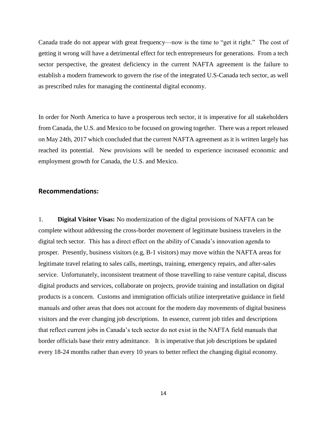Canada trade do not appear with great frequency—now is the time to "get it right." The cost of getting it wrong will have a detrimental effect for tech entrepreneurs for generations. From a tech sector perspective, the greatest deficiency in the current NAFTA agreement is the failure to establish a modern framework to govern the rise of the integrated U.S-Canada tech sector, as well as prescribed rules for managing the continental digital economy.

In order for North America to have a prosperous tech sector, it is imperative for all stakeholders from Canada, the U.S. and Mexico to be focused on growing together. There was a report released on May 24th, 2017 which concluded that the current NAFTA agreement as it is written largely has reached its potential. New provisions will be needed to experience increased economic and employment growth for Canada, the U.S. and Mexico.

#### **Recommendations:**

1. **Digital Visitor Visas:** No modernization of the digital provisions of NAFTA can be complete without addressing the cross-border movement of legitimate business travelers in the digital tech sector. This has a direct effect on the ability of Canada's innovation agenda to prosper. Presently, business visitors (e.g, B-1 visitors) may move within the NAFTA areas for legitimate travel relating to sales calls, meetings, training, emergency repairs, and after-sales service. Unfortunately, inconsistent treatment of those travelling to raise venture capital, discuss digital products and services, collaborate on projects, provide training and installation on digital products is a concern. Customs and immigration officials utilize interpretative guidance in field manuals and other areas that does not account for the modern day movements of digital business visitors and the ever changing job descriptions. In essence, current job titles and descriptions that reflect current jobs in Canada's tech sector do not exist in the NAFTA field manuals that border officials base their entry admittance. It is imperative that job descriptions be updated every 18-24 months rather than every 10 years to better reflect the changing digital economy.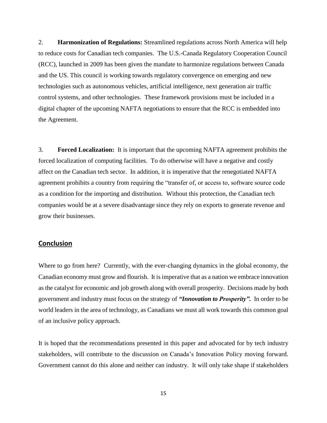2. **Harmonization of Regulations:** Streamlined regulations across North America will help to reduce costs for Canadian tech companies. The U.S.-Canada Regulatory Cooperation Council (RCC), launched in 2009 has been given the mandate to harmonize regulations between Canada and the US. This council is working towards regulatory convergence on emerging and new technologies such as autonomous vehicles, artificial intelligence, next generation air traffic control systems, and other technologies. These framework provisions must be included in a digital chapter of the upcoming NAFTA negotiations to ensure that the RCC is embedded into the Agreement.

3. **Forced Localization:** It is important that the upcoming NAFTA agreement prohibits the forced localization of computing facilities. To do otherwise will have a negative and costly affect on the Canadian tech sector. In addition, it is imperative that the renegotiated NAFTA agreement prohibits a country from requiring the "transfer of, or access to, software source code as a condition for the importing and distribution. Without this protection, the Canadian tech companies would be at a severe disadvantage since they rely on exports to generate revenue and grow their businesses.

## **Conclusion**

Where to go from here? Currently, with the ever-changing dynamics in the global economy, the Canadian economy must grow and flourish. It is imperative that as a nation we embrace innovation as the catalyst for economic and job growth along with overall prosperity. Decisions made by both government and industry must focus on the strategy of *"Innovation to Prosperity".* In order to be world leaders in the area of technology, as Canadians we must all work towards this common goal of an inclusive policy approach.

It is hoped that the recommendations presented in this paper and advocated for by tech industry stakeholders, will contribute to the discussion on Canada's Innovation Policy moving forward. Government cannot do this alone and neither can industry. It will only take shape if stakeholders